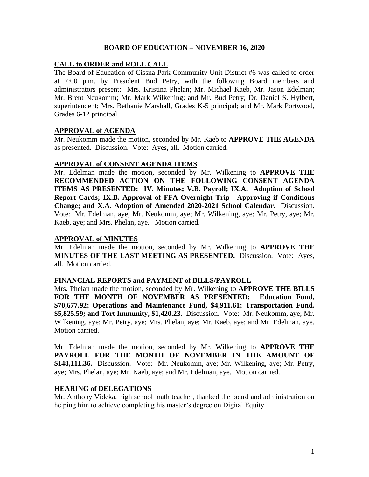### **BOARD OF EDUCATION – NOVEMBER 16, 2020**

## **CALL to ORDER and ROLL CALL**

The Board of Education of Cissna Park Community Unit District #6 was called to order at 7:00 p.m. by President Bud Petry, with the following Board members and administrators present: Mrs. Kristina Phelan; Mr. Michael Kaeb, Mr. Jason Edelman; Mr. Brent Neukomm; Mr. Mark Wilkening; and Mr. Bud Petry; Dr. Daniel S. Hylbert, superintendent; Mrs. Bethanie Marshall, Grades K-5 principal; and Mr. Mark Portwood, Grades 6-12 principal.

### **APPROVAL of AGENDA**

Mr. Neukomm made the motion, seconded by Mr. Kaeb to **APPROVE THE AGENDA**  as presented. Discussion. Vote: Ayes, all. Motion carried.

### **APPROVAL of CONSENT AGENDA ITEMS**

Mr. Edelman made the motion, seconded by Mr. Wilkening to **APPROVE THE RECOMMENDED ACTION ON THE FOLLOWING CONSENT AGENDA ITEMS AS PRESENTED: IV. Minutes; V.B. Payroll; IX.A. Adoption of School Report Cards; IX.B. Approval of FFA Overnight Trip—Approving if Conditions Change; and X.A. Adoption of Amended 2020-2021 School Calendar.** Discussion. Vote: Mr. Edelman, aye; Mr. Neukomm, aye; Mr. Wilkening, aye; Mr. Petry, aye; Mr. Kaeb, aye; and Mrs. Phelan, aye. Motion carried.

### **APPROVAL of MINUTES**

Mr. Edelman made the motion, seconded by Mr. Wilkening to **APPROVE THE MINUTES OF THE LAST MEETING AS PRESENTED.** Discussion. Vote: Ayes, all. Motion carried.

### **FINANCIAL REPORTS and PAYMENT of BILLS/PAYROLL**

Mrs. Phelan made the motion, seconded by Mr. Wilkening to **APPROVE THE BILLS FOR THE MONTH OF NOVEMBER AS PRESENTED: Education Fund, \$70,677.92; Operations and Maintenance Fund, \$4,911.61; Transportation Fund, \$5,825.59; and Tort Immunity, \$1,420.23.** Discussion. Vote: Mr. Neukomm, aye; Mr. Wilkening, aye; Mr. Petry, aye; Mrs. Phelan, aye; Mr. Kaeb, aye; and Mr. Edelman, aye. Motion carried.

Mr. Edelman made the motion, seconded by Mr. Wilkening to **APPROVE THE PAYROLL FOR THE MONTH OF NOVEMBER IN THE AMOUNT OF \$148,111.36.** Discussion. Vote: Mr. Neukomm, aye; Mr. Wilkening, aye; Mr. Petry, aye; Mrs. Phelan, aye; Mr. Kaeb, aye; and Mr. Edelman, aye. Motion carried.

### **HEARING of DELEGATIONS**

Mr. Anthony Videka, high school math teacher, thanked the board and administration on helping him to achieve completing his master's degree on Digital Equity.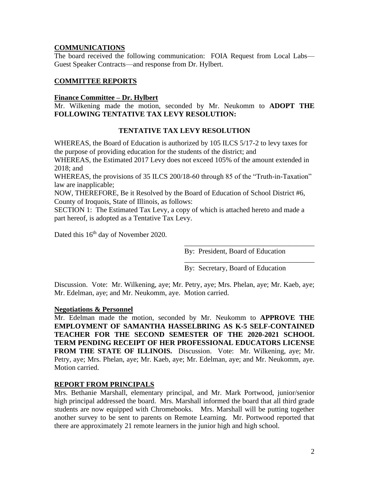# **COMMUNICATIONS**

The board received the following communication: FOIA Request from Local Labs— Guest Speaker Contracts—and response from Dr. Hylbert.

# **COMMITTEE REPORTS**

### **Finance Committee – Dr. Hylbert**

Mr. Wilkening made the motion, seconded by Mr. Neukomm to **ADOPT THE FOLLOWING TENTATIVE TAX LEVY RESOLUTION:**

# **TENTATIVE TAX LEVY RESOLUTION**

WHEREAS, the Board of Education is authorized by 105 ILCS 5/17-2 to levy taxes for the purpose of providing education for the students of the district; and

WHEREAS, the Estimated 2017 Levy does not exceed 105% of the amount extended in 2018; and

WHEREAS, the provisions of 35 ILCS 200/18-60 through 85 of the "Truth-in-Taxation" law are inapplicable;

NOW, THEREFORE, Be it Resolved by the Board of Education of School District #6, County of Iroquois, State of Illinois, as follows:

SECTION 1: The Estimated Tax Levy, a copy of which is attached hereto and made a part hereof, is adopted as a Tentative Tax Levy.

Dated this 16<sup>th</sup> day of November 2020.

By: President, Board of Education

\_\_\_\_\_\_\_\_\_\_\_\_\_\_\_\_\_\_\_\_\_\_\_\_\_\_\_\_\_\_\_\_\_\_\_\_

\_\_\_\_\_\_\_\_\_\_\_\_\_\_\_\_\_\_\_\_\_\_\_\_\_\_\_\_\_\_\_\_\_\_\_\_

By: Secretary, Board of Education

Discussion. Vote: Mr. Wilkening, aye; Mr. Petry, aye; Mrs. Phelan, aye; Mr. Kaeb, aye; Mr. Edelman, aye; and Mr. Neukomm, aye. Motion carried.

### **Negotiations & Personnel**

Mr. Edelman made the motion, seconded by Mr. Neukomm to **APPROVE THE EMPLOYMENT OF SAMANTHA HASSELBRING AS K-5 SELF-CONTAINED TEACHER FOR THE SECOND SEMESTER OF THE 2020-2021 SCHOOL TERM PENDING RECEIPT OF HER PROFESSIONAL EDUCATORS LICENSE FROM THE STATE OF ILLINOIS.** Discussion. Vote: Mr. Wilkening, aye; Mr. Petry, aye; Mrs. Phelan, aye; Mr. Kaeb, aye; Mr. Edelman, aye; and Mr. Neukomm, aye. Motion carried.

# **REPORT FROM PRINCIPALS**

Mrs. Bethanie Marshall, elementary principal, and Mr. Mark Portwood, junior/senior high principal addressed the board. Mrs. Marshall informed the board that all third grade students are now equipped with Chromebooks. Mrs. Marshall will be putting together another survey to be sent to parents on Remote Learning. Mr. Portwood reported that there are approximately 21 remote learners in the junior high and high school.